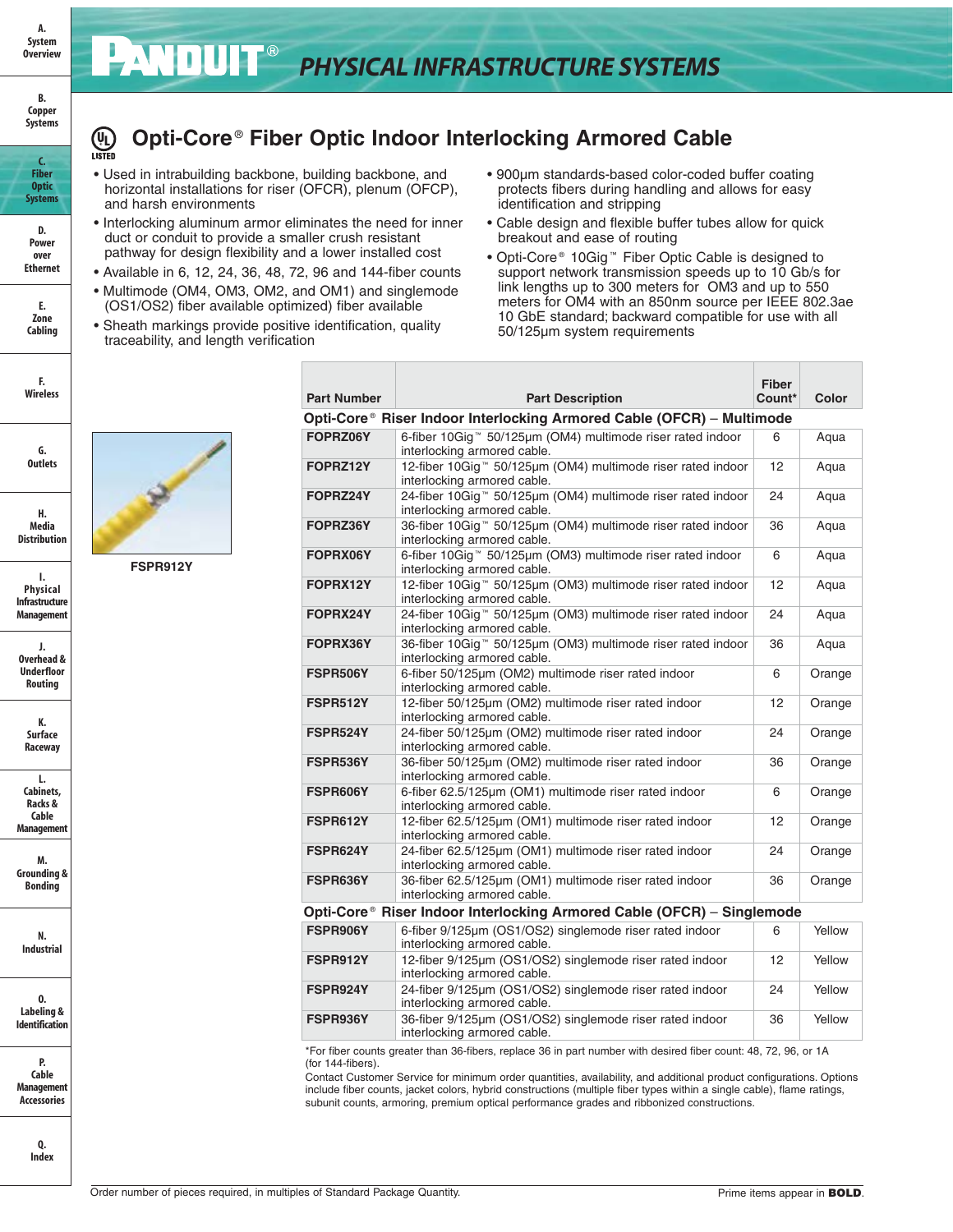# *PHYSICAL INFRASTRUCTURE SYSTEMS*

#### **B. Copper Systems**

**C. Fiber Optic Systems D. Power over Ethernet**

**E. Zone Cabling**

**F. Wireless**

**G. Outlets**

**H. Media Distribution**

**I. Physical Infrastructure**

**A. System Overview**

### **Opti-Core** ® **Fiber Optic Indoor Interlocking Armored Cable (UL)**<br>LISTED

- Used in intrabuilding backbone, building backbone, and horizontal installations for riser (OFCR), plenum (OFCP), and harsh environments
- Interlocking aluminum armor eliminates the need for inner duct or conduit to provide a smaller crush resistant pathway for design flexibility and a lower installed cost
- Available in 6, 12, 24, 36, 48, 72, 96 and 144-fiber counts
- Multimode (OM4, OM3, OM2, and OM1) and singlemode (OS1/OS2) fiber available optimized) fiber available
- Sheath markings provide positive identification, quality traceability, and length verification
- 900μm standards-based color-coded buffer coating protects fibers during handling and allows for easy identification and stripping
- Cable design and flexible buffer tubes allow for quick breakout and ease of routing
- Opti-Core ® 10Gig ™ Fiber Optic Cable is designed to support network transmission speeds up to 10 Gb/s for link lengths up to 300 meters for OM3 and up to 550 meters for OM4 with an 850nm source per IEEE 802.3ae 10 GbE standard; backward compatible for use with all 50/125μm system requirements

| <b>Part Number</b>     | <b>Part Description</b>                                                                                              | <b>Fiber</b><br>Count* | Color  |  |  |  |
|------------------------|----------------------------------------------------------------------------------------------------------------------|------------------------|--------|--|--|--|
|                        | Opti-Core® Riser Indoor Interlocking Armored Cable (OFCR) – Multimode                                                |                        |        |  |  |  |
| FOPRZ06Y               | 6-fiber 10Gig™ 50/125µm (OM4) multimode riser rated indoor<br>interlocking armored cable.                            | 6                      | Aqua   |  |  |  |
| FOPRZ12Y               | 12-fiber 10Gig <sup>™</sup> 50/125µm (OM4) multimode riser rated indoor<br>12<br>Aqua<br>interlocking armored cable. |                        |        |  |  |  |
| FOPRZ24Y               | 24-fiber 10Gig <sup>™</sup> 50/125µm (OM4) multimode riser rated indoor<br>24<br>Aqua<br>interlocking armored cable. |                        |        |  |  |  |
| FOPRZ36Y               | 36-fiber 10Gig <sup>™</sup> 50/125µm (OM4) multimode riser rated indoor<br>interlocking armored cable.               | 36                     | Aqua   |  |  |  |
| FOPRX06Y               | 6-fiber 10Gig™ 50/125µm (OM3) multimode riser rated indoor<br>interlocking armored cable.                            | 6                      | Agua   |  |  |  |
| FOPRX12Y               | 12-fiber 10Gig™ 50/125µm (OM3) multimode riser rated indoor<br>interlocking armored cable.                           | 12                     | Aqua   |  |  |  |
| FOPRX24Y               | 24-fiber 10Gig <sup>™</sup> 50/125µm (OM3) multimode riser rated indoor<br>interlocking armored cable.               | 24                     | Aqua   |  |  |  |
| FOPRX36Y               | 36-fiber 10Gig <sup>™</sup> 50/125µm (OM3) multimode riser rated indoor<br>interlocking armored cable.               | 36                     | Aqua   |  |  |  |
| FSPR506Y               | 6-fiber 50/125µm (OM2) multimode riser rated indoor<br>interlocking armored cable.                                   | 6                      | Orange |  |  |  |
| FSPR512Y               | 12-fiber 50/125µm (OM2) multimode riser rated indoor<br>interlocking armored cable.                                  | 12                     | Orange |  |  |  |
| FSPR524Y               | 24-fiber 50/125µm (OM2) multimode riser rated indoor<br>interlocking armored cable.                                  | 24                     | Orange |  |  |  |
| FSPR536Y               | 36-fiber 50/125um (OM2) multimode riser rated indoor<br>interlocking armored cable.                                  | 36                     | Orange |  |  |  |
| FSPR606Y               | 6-fiber 62.5/125um (OM1) multimode riser rated indoor<br>interlocking armored cable.                                 | 6                      | Orange |  |  |  |
| FSPR612Y               | 12-fiber 62.5/125µm (OM1) multimode riser rated indoor<br>interlocking armored cable.                                | 12                     | Orange |  |  |  |
| FSPR624Y               | 24-fiber 62.5/125µm (OM1) multimode riser rated indoor<br>interlocking armored cable.                                | 24                     | Orange |  |  |  |
| FSPR636Y               | 36-fiber 62.5/125µm (OM1) multimode riser rated indoor<br>interlocking armored cable.                                | 36                     | Orange |  |  |  |
| Opti-Core <sup>®</sup> | Riser Indoor Interlocking Armored Cable (OFCR) – Singlemode                                                          |                        |        |  |  |  |
| FSPR906Y               | 6-fiber 9/125um (OS1/OS2) singlemode riser rated indoor<br>interlocking armored cable.                               | 6                      | Yellow |  |  |  |
| FSPR912Y               | 12-fiber 9/125µm (OS1/OS2) singlemode riser rated indoor<br>interlocking armored cable.                              | 12                     | Yellow |  |  |  |
| FSPR924Y               | 24-fiber 9/125µm (OS1/OS2) singlemode riser rated indoor<br>interlocking armored cable.                              | 24                     | Yellow |  |  |  |
| FSPR936Y               | 36-fiber 9/125µm (OS1/OS2) singlemode riser rated indoor<br>interlocking armored cable.                              | 36                     | Yellow |  |  |  |

\*For fiber counts greater than 36-fibers, replace 36 in part number with desired fiber count: 48, 72, 96, or 1A (for 144-fibers).

Contact Customer Service for minimum order quantities, availability, and additional product configurations. Options include fiber counts, jacket colors, hybrid constructions (multiple fiber types within a single cable), flame ratings, subunit counts, armoring, premium optical performance grades and ribbonized constructions.



**FSPR912Y**

**Managemen J. Overhead & Underfloor Routing**

**K. Surface Raceway**

**L. Cabinets, Racks & Cable Managemer** 

**M. Grounding & Bonding**

**N. Industrial**

**O. Labeling & Identificatio** 

**P. Cable Managemer Accessories**

> **Q. Index**